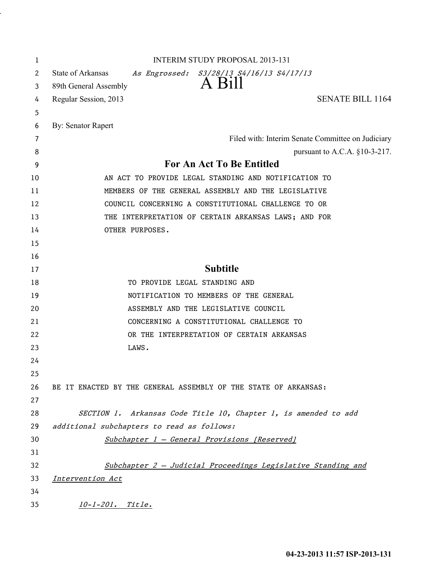| 1  | <b>INTERIM STUDY PROPOSAL 2013-131</b>                          |
|----|-----------------------------------------------------------------|
| 2  | State of Arkansas<br>As Engrossed: S3/28/13 S4/16/13 S4/17/13   |
| 3  | A Bill<br>89th General Assembly                                 |
| 4  | <b>SENATE BILL 1164</b><br>Regular Session, 2013                |
| 5  |                                                                 |
| 6  | By: Senator Rapert                                              |
| 7  | Filed with: Interim Senate Committee on Judiciary               |
| 8  | pursuant to A.C.A. $§10-3-217$ .                                |
| 9  | For An Act To Be Entitled                                       |
| 10 | AN ACT TO PROVIDE LEGAL STANDING AND NOTIFICATION TO            |
| 11 | MEMBERS OF THE GENERAL ASSEMBLY AND THE LEGISLATIVE             |
| 12 | COUNCIL CONCERNING A CONSTITUTIONAL CHALLENGE TO OR             |
| 13 | THE INTERPRETATION OF CERTAIN ARKANSAS LAWS; AND FOR            |
| 14 | OTHER PURPOSES.                                                 |
| 15 |                                                                 |
| 16 |                                                                 |
| 17 | <b>Subtitle</b>                                                 |
| 18 | TO PROVIDE LEGAL STANDING AND                                   |
| 19 | NOTIFICATION TO MEMBERS OF THE GENERAL                          |
| 20 | ASSEMBLY AND THE LEGISLATIVE COUNCIL                            |
| 21 | CONCERNING A CONSTITUTIONAL CHALLENGE TO                        |
| 22 | OR THE INTERPRETATION OF CERTAIN ARKANSAS                       |
| 23 | LAWS.                                                           |
| 24 |                                                                 |
| 25 |                                                                 |
| 26 | BE IT ENACTED BY THE GENERAL ASSEMBLY OF THE STATE OF ARKANSAS: |
| 27 |                                                                 |
| 28 | SECTION 1. Arkansas Code Title 10, Chapter 1, is amended to add |
| 29 | additional subchapters to read as follows:                      |
| 30 | Subchapter 1 - General Provisions [Reserved]                    |
| 31 |                                                                 |
| 32 | Subchapter 2 - Judicial Proceedings Legislative Standing and    |
| 33 | Intervention Act                                                |
| 34 |                                                                 |
| 35 | <u>10-1-201. Title.</u>                                         |

.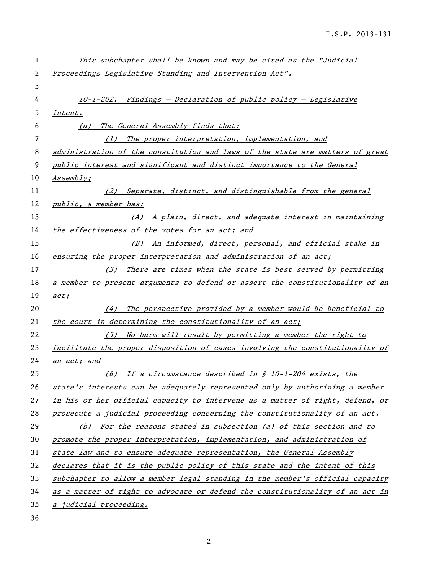| 1  | This subchapter shall be known and may be cited as the "Judicial              |
|----|-------------------------------------------------------------------------------|
| 2  | Proceedings Legislative Standing and Intervention Act".                       |
| 3  |                                                                               |
| 4  | 10-1-202. Findings - Declaration of public policy - Legislative               |
| 5  | intent.                                                                       |
| 6  | The General Assembly finds that:<br>(a)                                       |
| 7  | The proper interpretation, implementation, and<br>(1)                         |
| 8  | administration of the constitution and laws of the state are matters of great |
| 9  | public interest and significant and distinct importance to the General        |
| 10 | Assembly;                                                                     |
| 11 | (2) Separate, distinct, and distinguishable from the general                  |
| 12 | public, a member has:                                                         |
| 13 | (A) A plain, direct, and adequate interest in maintaining                     |
| 14 | the effectiveness of the votes for an act; and                                |
| 15 | (B) An informed, direct, personal, and official stake in                      |
| 16 | ensuring the proper interpretation and administration of an act;              |
| 17 | There are times when the state is best served by permitting<br>(3)            |
| 18 | a member to present arguments to defend or assert the constitutionality of an |
| 19 | act:                                                                          |
| 20 | The perspective provided by a member would be beneficial to<br>(4)            |
| 21 | the court in determining the constitutionality of an act;                     |
| 22 | (5) No harm will result by permitting a member the right to                   |
| 23 | facilitate the proper disposition of cases involving the constitutionality of |
| 24 | <u>an act; and</u>                                                            |
| 25 | (6) If a circumstance described in $\int$ 10-1-204 exists, the                |
| 26 | state's interests can be adequately represented only by authorizing a member  |
| 27 | in his or her official capacity to intervene as a matter of right, defend, or |
| 28 | prosecute a judicial proceeding concerning the constitutionality of an act.   |
| 29 | (b) For the reasons stated in subsection (a) of this section and to           |
| 30 | promote the proper interpretation, implementation, and administration of      |
| 31 | state law and to ensure adequate representation, the General Assembly         |
| 32 | declares that it is the public policy of this state and the intent of this    |
| 33 | subchapter to allow a member legal standing in the member's official capacity |
| 34 | as a matter of right to advocate or defend the constitutionality of an act in |
| 35 | a judicial proceeding.                                                        |

36